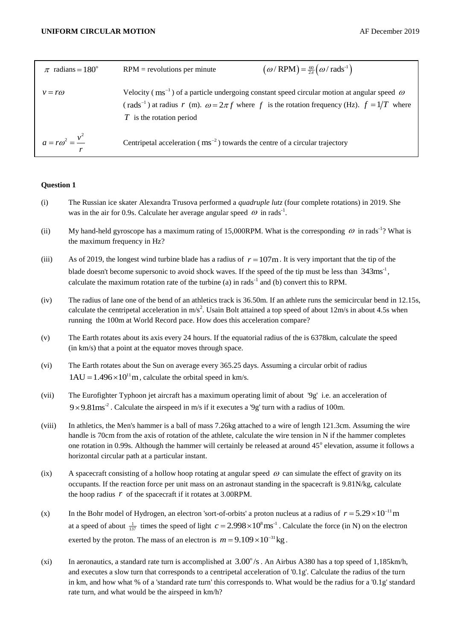| $\pi$ radians = 180 <sup>°</sup> | $RPM$ = revolutions per minute                                                            | $(\omega/\text{RPM}) = \frac{60}{2\pi} (\omega/\text{rads}^{-1})$                                                                                                                                                                   |
|----------------------------------|-------------------------------------------------------------------------------------------|-------------------------------------------------------------------------------------------------------------------------------------------------------------------------------------------------------------------------------------|
| $v = r\omega$                    | $T$ is the rotation period                                                                | Velocity ( $\text{ms}^{-1}$ ) of a particle undergoing constant speed circular motion at angular speed $\omega$<br>(rads <sup>-1</sup> ) at radius r (m). $\omega = 2\pi f$ where f is the rotation frequency (Hz). $f = 1/T$ where |
| $a = r\omega^2 = \frac{v^2}{r}$  | Centripetal acceleration ( $\text{ms}^{-2}$ ) towards the centre of a circular trajectory |                                                                                                                                                                                                                                     |

## **Question 1**

- (i) The Russian ice skater Alexandra Trusova performed a *quadruple lutz* (four complete rotations) in 2019. She was in the air for 0.9s. Calculate her average angular speed  $\omega$  in rads<sup>-1</sup>.
- (ii) My hand-held gyroscope has a maximum rating of 15,000RPM. What is the corresponding  $\omega$  in rads<sup>-1</sup>? What is the maximum frequency in Hz?
- (iii) As of 2019, the longest wind turbine blade has a radius of  $r = 107$ m. It is very important that the tip of the blade doesn't become supersonic to avoid shock waves. If the speed of the tip must be less than  $343 \text{ms}^{-1}$ , calculate the maximum rotation rate of the turbine (a) in rads<sup>-1</sup> and (b) convert this to RPM.
- (iv) The radius of lane one of the bend of an athletics track is 36.50m. If an athlete runs the semicircular bend in 12.15s, calculate the centripetal acceleration in  $m/s^2$ . Usain Bolt attained a top speed of about 12m/s in about 4.5s when running the 100m at World Record pace. How does this acceleration compare?
- (v) The Earth rotates about its axis every 24 hours. If the equatorial radius of the is 6378km, calculate the speed (in km/s) that a point at the equator moves through space.
- (vi) The Earth rotates about the Sun on average every 365.25 days. Assuming a circular orbit of radius  $1AU = 1.496 \times 10^{11}$  m, calculate the orbital speed in km/s.
- (vii) The Eurofighter Typhoon jet aircraft has a maximum operating limit of about '9g' i.e. an acceleration of  $9 \times 9.81$ ms<sup>2</sup>. Calculate the airspeed in m/s if it executes a '9g' turn with a radius of 100m.
- (viii) In athletics, the Men's hammer is a ball of mass 7.26kg attached to a wire of length 121.3cm. Assuming the wire handle is 70cm from the axis of rotation of the athlete, calculate the wire tension in N if the hammer completes one rotation in 0.99s. Although the hammer will certainly be released at around  $45^{\circ}$  elevation, assume it follows a horizontal circular path at a particular instant.
- (ix) A spacecraft consisting of a hollow hoop rotating at angular speed  $\omega$  can simulate the effect of gravity on its occupants. If the reaction force per unit mass on an astronaut standing in the spacecraft is 9.81N/kg, calculate the hoop radius  $r$  of the spacecraft if it rotates at 3.00RPM.
- (x) In the Bohr model of Hydrogen, an electron 'sort-of-orbits' a proton nucleus at a radius of  $r = 5.29 \times 10^{-11}$  m at a speed of about  $\frac{1}{137}$  times the speed of light  $c = 2.998 \times 10^8 \text{ ms}^{-1}$ . Calculate the force (in N) on the electron exerted by the proton. The mass of an electron is  $m = 9.109 \times 10^{-31}$  kg.
- (xi) In aeronautics, a standard rate turn is accomplished at  $3.00^{\circ}/s$ . An Airbus A380 has a top speed of 1,185km/h, and executes a slow turn that corresponds to a centripetal acceleration of '0.1g'. Calculate the radius of the turn in km, and how what % of a 'standard rate turn' this corresponds to. What would be the radius for a '0.1g' standard rate turn, and what would be the airspeed in km/h?